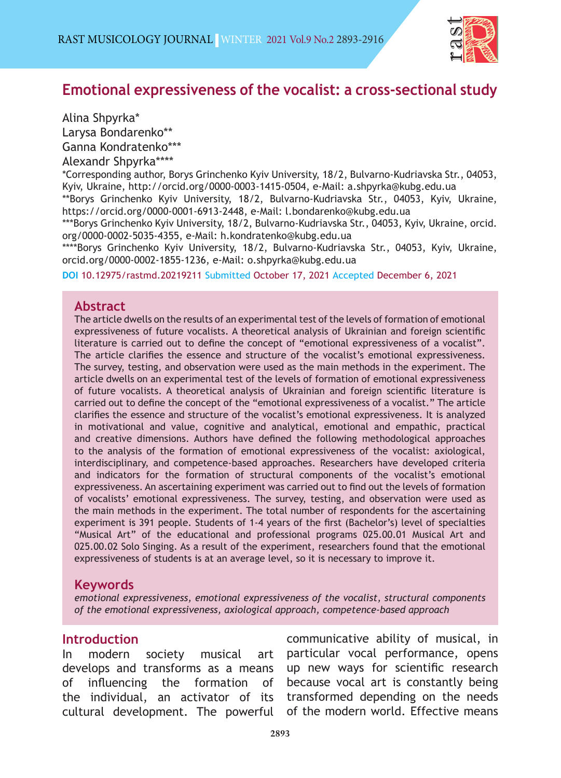

# **Emotional expressiveness of the vocalist: a cross-sectional study**

Alina Shpyrka\* Larysa Bondarenko\*\* Ganna Kondratenko\*\*\* Alexandr Shpyrka\*\*\*\* \*Corresponding author, Borys Grinchenko Kyiv University, 18/2, Bulvarno-Kudriavska Str., 04053, Kyiv, Ukraine, http://orcid.org/0000-0003-1415-0504, e-Mail: a.shpyrka@kubg.edu.ua \*\*Borys Grinchenko Kyiv University, 18/2, Bulvarno-Kudriavska Str., 04053, Kyiv, Ukraine, https://orcid.org/0000-0001-6913-2448, e-Mail: l.bondarenko@kubg.edu.ua \*\*\*Borys Grinchenko Kyiv University, 18/2, Bulvarno-Kudriavska Str., 04053, Kyiv, Ukraine, orcid. org/0000-0002-5035-4355, e-Mail: h.kondratenko@kubg.edu.ua \*\*\*\*Borys Grinchenko Kyiv University, 18/2, Bulvarno-Kudriavska Str., 04053, Kyiv, Ukraine,

orcid.org/0000-0002-1855-1236, e-Mail: o.shpyrka@kubg.edu.ua

**DOI** [10.12975/rastmd.20219211 Submitted](https://dergipark.org.tr/en/pub/rastmd/issue/64820/1014430) October 17, 2021 Accepted December 6, 2021

#### **Abstract**

The article dwells on the results of an experimental test of the levels of formation of emotional expressiveness of future vocalists. A theoretical analysis of Ukrainian and foreign scientific literature is carried out to define the concept of "emotional expressiveness of a vocalist". The article clarifies the essence and structure of the vocalist's emotional expressiveness. The survey, testing, and observation were used as the main methods in the experiment. The article dwells on an experimental test of the levels of formation of emotional expressiveness of future vocalists. A theoretical analysis of Ukrainian and foreign scientific literature is carried out to define the concept of the "emotional expressiveness of a vocalist." The article clarifies the essence and structure of the vocalist's emotional expressiveness. It is analyzed in motivational and value, cognitive and analytical, emotional and empathic, practical and creative dimensions. Authors have defined the following methodological approaches to the analysis of the formation of emotional expressiveness of the vocalist: axiological, interdisciplinary, and competence-based approaches. Researchers have developed criteria and indicators for the formation of structural components of the vocalist's emotional expressiveness. An ascertaining experiment was carried out to find out the levels of formation of vocalists' emotional expressiveness. The survey, testing, and observation were used as the main methods in the experiment. The total number of respondents for the ascertaining experiment is 391 people. Students of 1-4 years of the first (Bachelor's) level of specialties "Musical Art" of the educational and professional programs 025.00.01 Musical Art and 025.00.02 Solo Singing. As a result of the experiment, researchers found that the emotional expressiveness of students is at an average level, so it is necessary to improve it.

#### **Keywords**

*emotional expressiveness, emotional expressiveness of the vocalist, structural components of the emotional expressiveness, axiological approach, competence-based approach*

#### **Introduction**

In modern society musical art develops and transforms as a means of influencing the formation of the individual, an activator of its cultural development. The powerful

communicative ability of musical, in particular vocal performance, opens up new ways for scientific research because vocal art is constantly being transformed depending on the needs of the modern world. Effective means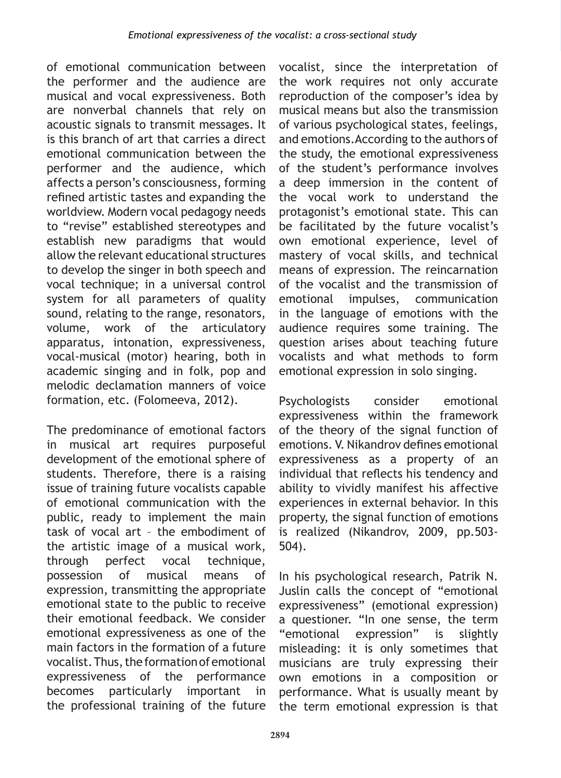of emotional communication between the performer and the audience are musical and vocal expressiveness. Both are nonverbal channels that rely on acoustic signals to transmit messages. It is this branch of art that carries a direct emotional communication between the performer and the audience, which affects a person's consciousness, forming refined artistic tastes and expanding the worldview. Modern vocal pedagogy needs to "revise" established stereotypes and establish new paradigms that would allow the relevant educational structures to develop the singer in both speech and vocal technique; in a universal control system for all parameters of quality sound, relating to the range, resonators, volume, work of the articulatory apparatus, intonation, expressiveness, vocal-musical (motor) hearing, both in academic singing and in folk, pop and melodic declamation manners of voice formation, etc. (Folomeeva, 2012).

The predominance of emotional factors in musical art requires purposeful development of the emotional sphere of students. Therefore, there is a raising issue of training future vocalists capable of emotional communication with the public, ready to implement the main task of vocal art – the embodiment of the artistic image of a musical work, through perfect vocal technique, possession of musical means of expression, transmitting the appropriate emotional state to the public to receive their emotional feedback. We consider emotional expressiveness as one of the main factors in the formation of a future vocalist. Thus, the formation of emotional expressiveness of the performance becomes particularly important in the professional training of the future

vocalist, since the interpretation of the work requires not only accurate reproduction of the composer's idea by musical means but also the transmission of various psychological states, feelings, and emotions.According to the authors of the study, the emotional expressiveness of the student's performance involves a deep immersion in the content of the vocal work to understand the protagonist's emotional state. This can be facilitated by the future vocalist's own emotional experience, level of mastery of vocal skills, and technical means of expression. The reincarnation of the vocalist and the transmission of emotional impulses, communication in the language of emotions with the audience requires some training. The question arises about teaching future vocalists and what methods to form emotional expression in solo singing.

Psychologists consider emotional expressiveness within the framework of the theory of the signal function of emotions. V. Nikandrov defines emotional expressiveness as a property of an individual that reflects his tendency and ability to vividly manifest his affective experiences in external behavior. In this property, the signal function of emotions is realized (Nikandrov, 2009, pp.503- 504).

In his psychological research, Patrik N. Juslin calls the concept of "emotional expressiveness" (emotional expression) a questioner. "In one sense, the term "emotional expression" is slightly misleading: it is only sometimes that musicians are truly expressing their own emotions in a composition or performance. What is usually meant by the term emotional expression is that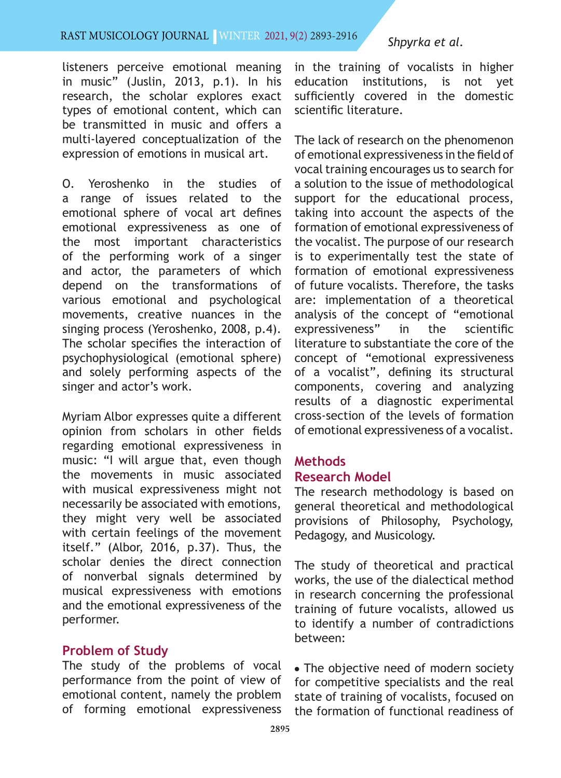## RAST MUSICOLOGY JOURNAL WINTER 2021, 9(2) 2893-2916

listeners perceive emotional meaning in music" (Juslin, 2013, p.1). In his research, the scholar explores exact types of emotional content, which can be transmitted in music and offers a multi-layered conceptualization of the expression of emotions in musical art.

O. Yeroshenko in the studies of a range of issues related to the emotional sphere of vocal art defines emotional expressiveness as one of the most important characteristics of the performing work of a singer and actor, the parameters of which depend on the transformations of various emotional and psychological movements, creative nuances in the singing process (Yeroshenko, 2008, p.4). The scholar specifies the interaction of psychophysiological (emotional sphere) and solely performing aspects of the singer and actor's work.

Myriam Albor expresses quite a different opinion from scholars in other fields regarding emotional expressiveness in music: "I will argue that, even though the movements in music associated with musical expressiveness might not necessarily be associated with emotions, they might very well be associated with certain feelings of the movement itself." (Albor, 2016, p.37). Thus, the scholar denies the direct connection of nonverbal signals determined by musical expressiveness with emotions and the emotional expressiveness of the performer.

## **Problem of Study**

The study of the problems of vocal performance from the point of view of emotional content, namely the problem of forming emotional expressiveness

## *Shpyrka et al.*

in the training of vocalists in higher education institutions, is not yet sufficiently covered in the domestic scientific literature.

The lack of research on the phenomenon of emotional expressiveness in the field of vocal training encourages us to search for a solution to the issue of methodological support for the educational process, taking into account the aspects of the formation of emotional expressiveness of the vocalist. The purpose of our research is to experimentally test the state of formation of emotional expressiveness of future vocalists. Therefore, the tasks are: implementation of a theoretical analysis of the concept of "emotional expressiveness" in the scientific literature to substantiate the core of the concept of "emotional expressiveness of a vocalist", defining its structural components, covering and analyzing results of a diagnostic experimental cross-section of the levels of formation of emotional expressiveness of a vocalist.

## **Methods Research Model**

The research methodology is based on general theoretical and methodological provisions of Philosophy, Psychology, Pedagogy, and Musicology.

The study of theoretical and practical works, the use of the dialectical method in research concerning the professional training of future vocalists, allowed us to identify a number of contradictions between:

• The objective need of modern society for competitive specialists and the real state of training of vocalists, focused on the formation of functional readiness of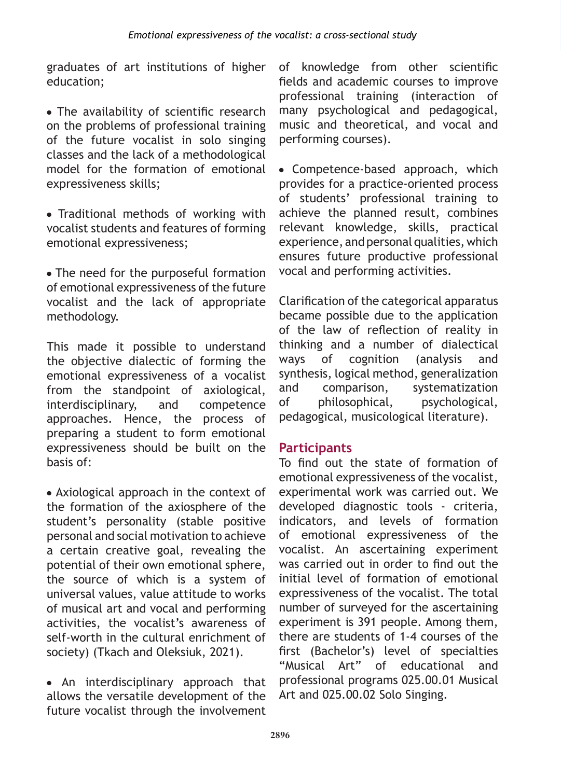graduates of art institutions of higher education;

• The availability of scientific research on the problems of professional training of the future vocalist in solo singing classes and the lack of a methodological model for the formation of emotional expressiveness skills;

• Traditional methods of working with vocalist students and features of forming emotional expressiveness;

• The need for the purposeful formation of emotional expressiveness of the future vocalist and the lack of appropriate methodology.

This made it possible to understand the objective dialectic of forming the emotional expressiveness of a vocalist from the standpoint of axiological, interdisciplinary, and competence approaches. Hence, the process of preparing a student to form emotional expressiveness should be built on the basis of:

• Axiological approach in the context of the formation of the axiosphere of the student's personality (stable positive personal and social motivation to achieve a certain creative goal, revealing the potential of their own emotional sphere, the source of which is a system of universal values, value attitude to works of musical art and vocal and performing activities, the vocalist's awareness of self-worth in the cultural enrichment of society) (Tkach and Oleksiuk, 2021).

• An interdisciplinary approach that allows the versatile development of the future vocalist through the involvement of knowledge from other scientific fields and academic courses to improve professional training (interaction of many psychological and pedagogical, music and theoretical, and vocal and performing courses).

• Competence-based approach, which provides for a practice-oriented process of students' professional training to achieve the planned result, combines relevant knowledge, skills, practical experience, and personal qualities, which ensures future productive professional vocal and performing activities.

Clarification of the categorical apparatus became possible due to the application of the law of reflection of reality in thinking and a number of dialectical ways of cognition (analysis and synthesis, logical method, generalization and comparison, systematization of philosophical, psychological, pedagogical, musicological literature).

# **Participants**

To find out the state of formation of emotional expressiveness of the vocalist, experimental work was carried out. We developed diagnostic tools - criteria, indicators, and levels of formation of emotional expressiveness of the vocalist. An ascertaining experiment was carried out in order to find out the initial level of formation of emotional expressiveness of the vocalist. The total number of surveyed for the ascertaining experiment is 391 people. Among them, there are students of 1-4 courses of the first (Bachelor's) level of specialties "Musical Art" of educational and professional programs 025.00.01 Musical Art and 025.00.02 Solo Singing.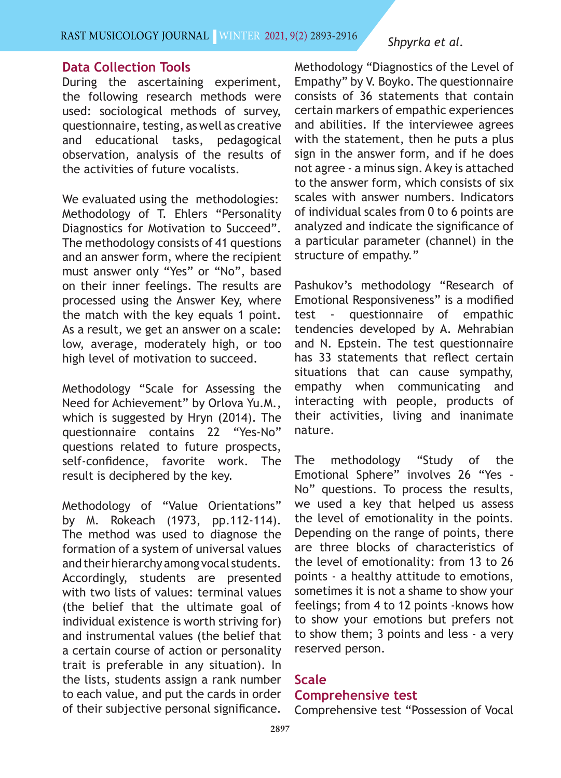## RAST MUSICOLOGY JOURNAL WINTER 2021, 9(2) 2893-2916

#### *Shpyrka et al.*

## **Data Collection Tools**

During the ascertaining experiment, the following research methods were used: sociological methods of survey, questionnaire, testing, as well as creative and educational tasks, pedagogical observation, analysis of the results of the activities of future vocalists.

We evaluated using the methodologies: Methodology of T. Ehlers "Personality Diagnostics for Motivation to Succeed". The methodology consists of 41 questions and an answer form, where the recipient must answer only "Yes" or "No", based on their inner feelings. The results are processed using the Answer Key, where the match with the key equals 1 point. As a result, we get an answer on a scale: low, average, moderately high, or too high level of motivation to succeed.

Methodology "Scale for Assessing the Need for Achievement" by Orlova Yu.M., which is suggested by Hryn (2014). The questionnaire contains 22 "Yes-No" questions related to future prospects, self-confidence, favorite work. The result is deciphered by the key.

Methodology of "Value Orientations" by M. Rokeach (1973, pp.112-114). The method was used to diagnose the formation of a system of universal values and their hierarchy among vocal students. Accordingly, students are presented with two lists of values: terminal values (the belief that the ultimate goal of individual existence is worth striving for) and instrumental values (the belief that a certain course of action or personality trait is preferable in any situation). In the lists, students assign a rank number to each value, and put the cards in order of their subjective personal significance.

Methodology "Diagnostics of the Level of Empathy" by V. Boyko. The questionnaire consists of 36 statements that contain certain markers of empathic experiences and abilities. If the interviewee agrees with the statement, then he puts a plus sign in the answer form, and if he does not agree - a minus sign. A key is attached to the answer form, which consists of six scales with answer numbers. Indicators of individual scales from 0 to 6 points are analyzed and indicate the significance of a particular parameter (channel) in the structure of empathy."

Pashukov's methodology "Research of Emotional Responsiveness" is a modified test - questionnaire of empathic tendencies developed by A. Mehrabian and N. Epstein. The test questionnaire has 33 statements that reflect certain situations that can cause sympathy, empathy when communicating and interacting with people, products of their activities, living and inanimate nature.

The methodology "Study of the Emotional Sphere" involves 26 "Yes - No" questions. To process the results, we used a key that helped us assess the level of emotionality in the points. Depending on the range of points, there are three blocks of characteristics of the level of emotionality: from 13 to 26 points - a healthy attitude to emotions, sometimes it is not a shame to show your feelings; from 4 to 12 points -knows how to show your emotions but prefers not to show them; 3 points and less - a very reserved person.

#### **Scale**

## **Comprehensive test**

Comprehensive test "Possession of Vocal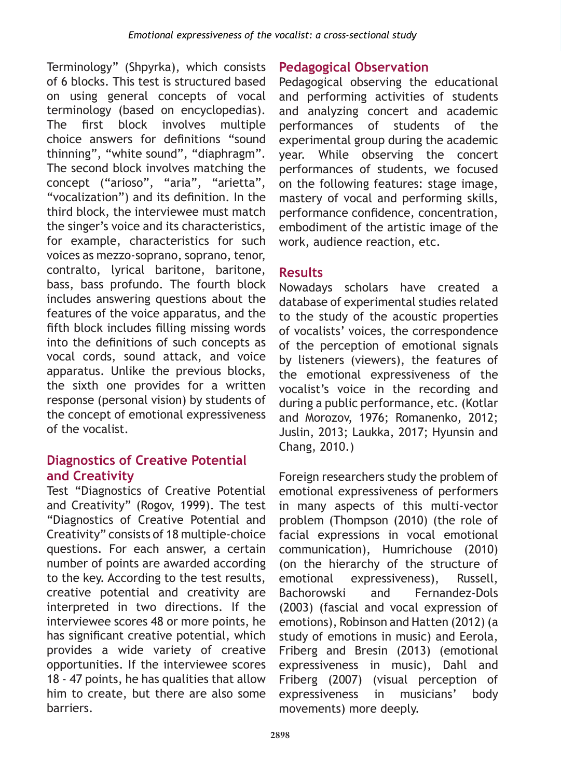Terminology" (Shpyrka), which consists of 6 blocks. This test is structured based on using general concepts of vocal terminology (based on encyclopedias). The first block involves multiple choice answers for definitions "sound thinning", "white sound", "diaphragm". The second block involves matching the concept ("arioso", "aria", "arietta", "vocalization") and its definition. In the third block, the interviewee must match the singer's voice and its characteristics, for example, characteristics for such voices as mezzo-soprano, soprano, tenor, contralto, lyrical baritone, baritone, bass, bass profundo. The fourth block includes answering questions about the features of the voice apparatus, and the fifth block includes filling missing words into the definitions of such concepts as vocal cords, sound attack, and voice apparatus. Unlike the previous blocks, the sixth one provides for a written response (personal vision) by students of the concept of emotional expressiveness of the vocalist.

# **Diagnostics of Creative Potential and Creativity**

Test "Diagnostics of Creative Potential and Creativity" (Rogov, 1999). The test "Diagnostics of Creative Potential and Creativity" consists of 18 multiple-choice questions. For each answer, a certain number of points are awarded according to the key. According to the test results, creative potential and creativity are interpreted in two directions. If the interviewee scores 48 or more points, he has significant creative potential, which provides a wide variety of creative opportunities. If the interviewee scores 18 - 47 points, he has qualities that allow him to create, but there are also some barriers.

# **Pedagogical Observation**

Pedagogical observing the educational and performing activities of students and analyzing concert and academic performances of students of the experimental group during the academic year. While observing the concert performances of students, we focused on the following features: stage image, mastery of vocal and performing skills, performance confidence, concentration, embodiment of the artistic image of the work, audience reaction, etc.

# **Results**

Nowadays scholars have created a database of experimental studies related to the study of the acoustic properties of vocalists' voices, the correspondence of the perception of emotional signals by listeners (viewers), the features of the emotional expressiveness of the vocalist's voice in the recording and during a public performance, etc. (Kotlar and Morozov, 1976; Romanenko, 2012; Juslin, 2013; Laukka, 2017; Hyunsin and Chang, 2010.)

Foreign researchers study the problem of emotional expressiveness of performers in many aspects of this multi-vector problem (Thompson (2010) (the role of facial expressions in vocal emotional communication), Humrichouse (2010) (on the hierarchy of the structure of emotional expressiveness), Russell, Bachorowski and Fernandez-Dols (2003) (fascial and vocal expression of emotions), Robinson and Hatten (2012) (a study of emotions in music) and Eerola, Friberg and Bresin (2013) (emotional expressiveness in music), Dahl and Friberg (2007) (visual perception of expressiveness in musicians' body movements) more deeply.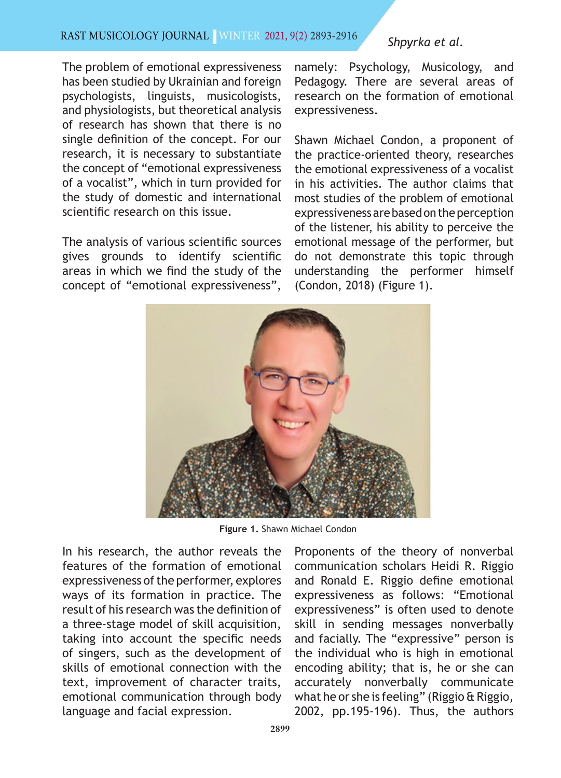#### Rast MUSıcOLOgy JOURNAL | WINTER 2021, 9(2) 2893-2916

## The problem of emotional expressiveness has been studied by Ukrainian and foreign psychologists, linguists, musicologists, and physiologists, but theoretical analysis of research has shown that there is no single definition of the concept. For our research, it is necessary to substantiate the concept of "emotional expressiveness of a vocalist", which in turn provided for the study of domestic and international scientific research on this issue.

The analysis of various scientific sources gives grounds to identify scientific areas in which we find the study of the concept of "emotional expressiveness",

# namely: Psychology, Musicology, and

*Shpyrka et al.*

Pedagogy. There are several areas of research on the formation of emotional expressiveness.

Shawn Michael Condon, a proponent of the practice-oriented theory, researches the emotional expressiveness of a vocalist in his activities. The author claims that most studies of the problem of emotional expressiveness are based on the perception of the listener, his ability to perceive the emotional message of the performer, but do not demonstrate this topic through understanding the performer himself (Condon, 2018) (Figure 1).



**Figure 1.** Shawn Michael Condon

In his research, the author reveals the features of the formation of emotional expressiveness of the performer, explores ways of its formation in practice. The result of his research was the definition of a three-stage model of skill acquisition, taking into account the specific needs of singers, such as the development of skills of emotional connection with the text, improvement of character traits, emotional communication through body language and facial expression.

Proponents of the theory of nonverbal communication scholars Heidi R. Riggio and Ronald E. Riggio define emotional expressiveness as follows: "Emotional expressiveness" is often used to denote skill in sending messages nonverbally and facially. The "expressive" person is the individual who is high in emotional encoding ability; that is, he or she can accurately nonverbally communicate what he or she is feeling" (Riggio & Riggio, 2002, pp.195-196). Thus, the authors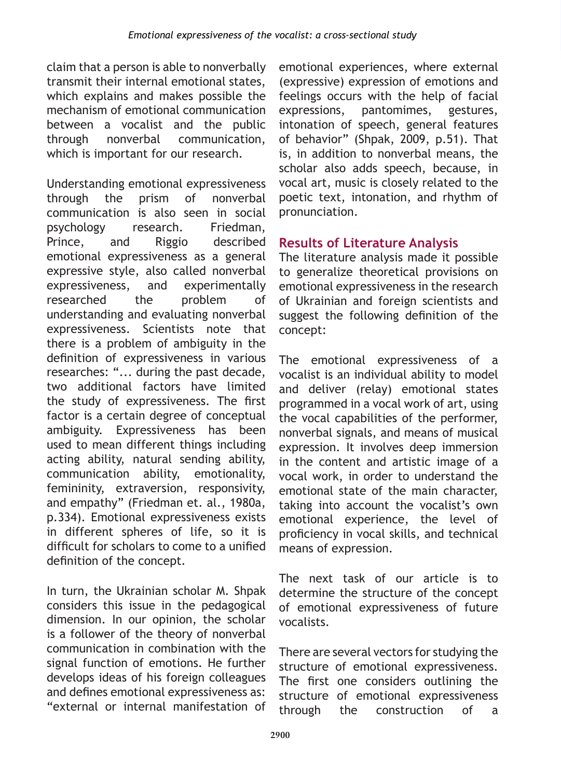claim that a person is able to nonverbally transmit their internal emotional states, which explains and makes possible the mechanism of emotional communication between a vocalist and the public through nonverbal communication, which is important for our research.

Understanding emotional expressiveness through the prism of nonverbal communication is also seen in social psychology research. Friedman, Prince, and Riggio described emotional expressiveness as a general expressive style, also called nonverbal expressiveness, and experimentally researched the problem of understanding and evaluating nonverbal expressiveness. Scientists note that there is a problem of ambiguity in the definition of expressiveness in various researches: "... during the past decade, two additional factors have limited the study of expressiveness. The first factor is a certain degree of conceptual ambiguity. Expressiveness has been used to mean different things including acting ability, natural sending ability, communication ability, emotionality, femininity, extraversion, responsivity, and empathy" (Friedman et. al., 1980a, p.334). Emotional expressiveness exists in different spheres of life, so it is difficult for scholars to come to a unified definition of the concept.

In turn, the Ukrainian scholar M. Shpak considers this issue in the pedagogical dimension. In our opinion, the scholar is a follower of the theory of nonverbal communication in combination with the signal function of emotions. He further develops ideas of his foreign colleagues and defines emotional expressiveness as: "external or internal manifestation of

emotional experiences, where external (expressive) expression of emotions and feelings occurs with the help of facial expressions, pantomimes, gestures, intonation of speech, general features of behavior" (Shpak, 2009, p.51). That is, in addition to nonverbal means, the scholar also adds speech, because, in vocal art, music is closely related to the poetic text, intonation, and rhythm of pronunciation.

# **Results of Literature Analysis**

The literature analysis made it possible to generalize theoretical provisions on emotional expressiveness in the research of Ukrainian and foreign scientists and suggest the following definition of the concept:

The emotional expressiveness of a vocalist is an individual ability to model and deliver (relay) emotional states programmed in a vocal work of art, using the vocal capabilities of the performer, nonverbal signals, and means of musical expression. It involves deep immersion in the content and artistic image of a vocal work, in order to understand the emotional state of the main character, taking into account the vocalist's own emotional experience, the level of proficiency in vocal skills, and technical means of expression.

The next task of our article is to determine the structure of the concept of emotional expressiveness of future vocalists.

There are several vectors for studying the structure of emotional expressiveness. The first one considers outlining the structure of emotional expressiveness through the construction of a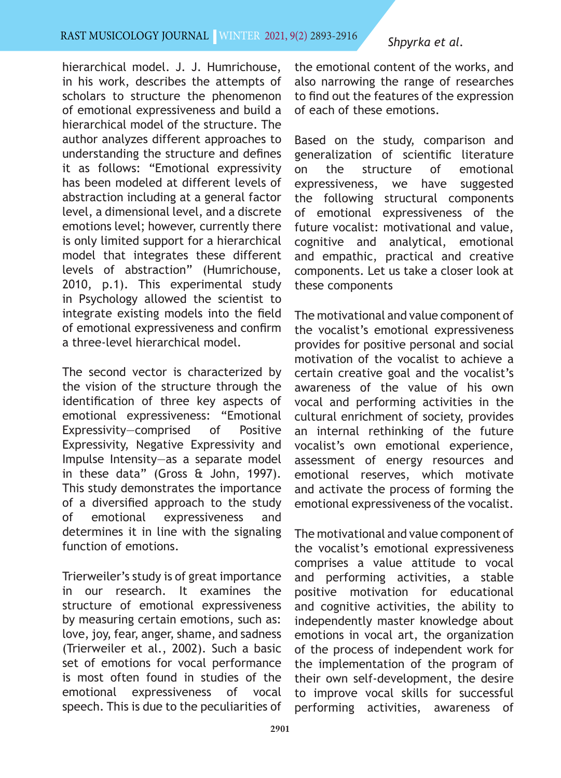### RAST MUSICOLOGY JOURNAL WINTER 2021, 9(2) 2893-2916

#### *Shpyrka et al.*

hierarchical model. J. J. Humrichouse, in his work, describes the attempts of scholars to structure the phenomenon of emotional expressiveness and build a hierarchical model of the structure. The author analyzes different approaches to understanding the structure and defines it as follows: "Emotional expressivity has been modeled at different levels of abstraction including at a general factor level, a dimensional level, and a discrete emotions level; however, currently there is only limited support for a hierarchical model that integrates these different levels of abstraction" (Humrichouse, 2010, p.1). This experimental study in Psychology allowed the scientist to integrate existing models into the field of emotional expressiveness and confirm a three-level hierarchical model.

The second vector is characterized by the vision of the structure through the identification of three key aspects of emotional expressiveness: "Emotional Expressivity—comprised of Positive Expressivity, Negative Expressivity and Impulse Intensity—as a separate model in these data" (Gross & John, 1997). This study demonstrates the importance of a diversified approach to the study of emotional expressiveness and determines it in line with the signaling function of emotions.

Trierweiler's study is of great importance in our research. It examines the structure of emotional expressiveness by measuring certain emotions, such as: love, joy, fear, anger, shame, and sadness (Trierweiler et al., 2002). Such a basic set of emotions for vocal performance is most often found in studies of the emotional expressiveness of vocal speech. This is due to the peculiarities of

the emotional content of the works, and also narrowing the range of researches to find out the features of the expression of each of these emotions.

Based on the study, comparison and generalization of scientific literature on the structure of emotional expressiveness, we have suggested the following structural components of emotional expressiveness of the future vocalist: motivational and value, cognitive and analytical, emotional and empathic, practical and creative components. Let us take a closer look at these components

The motivational and value component of the vocalist's emotional expressiveness provides for positive personal and social motivation of the vocalist to achieve a certain creative goal and the vocalist's awareness of the value of his own vocal and performing activities in the cultural enrichment of society, provides an internal rethinking of the future vocalist's own emotional experience, assessment of energy resources and emotional reserves, which motivate and activate the process of forming the emotional expressiveness of the vocalist.

The motivational and value component of the vocalist's emotional expressiveness comprises a value attitude to vocal and performing activities, a stable positive motivation for educational and cognitive activities, the ability to independently master knowledge about emotions in vocal art, the organization of the process of independent work for the implementation of the program of their own self-development, the desire to improve vocal skills for successful performing activities, awareness of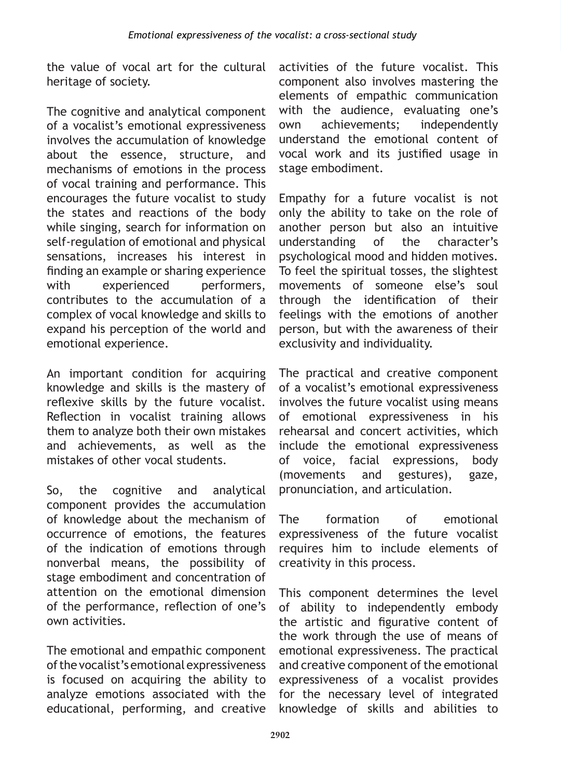the value of vocal art for the cultural heritage of society.

The cognitive and analytical component of a vocalist's emotional expressiveness involves the accumulation of knowledge about the essence, structure, and mechanisms of emotions in the process of vocal training and performance. This encourages the future vocalist to study the states and reactions of the body while singing, search for information on self-regulation of emotional and physical sensations, increases his interest in finding an example or sharing experience with experienced performers, contributes to the accumulation of a complex of vocal knowledge and skills to expand his perception of the world and emotional experience.

An important condition for acquiring knowledge and skills is the mastery of reflexive skills by the future vocalist. Reflection in vocalist training allows them to analyze both their own mistakes and achievements, as well as the mistakes of other vocal students.

So, the cognitive and analytical component provides the accumulation of knowledge about the mechanism of occurrence of emotions, the features of the indication of emotions through nonverbal means, the possibility of stage embodiment and concentration of attention on the emotional dimension of the performance, reflection of one's own activities.

The emotional and empathic component of the vocalist's emotional expressiveness is focused on acquiring the ability to analyze emotions associated with the educational, performing, and creative

activities of the future vocalist. This component also involves mastering the elements of empathic communication with the audience, evaluating one's own achievements; independently understand the emotional content of vocal work and its justified usage in stage embodiment.

Empathy for a future vocalist is not only the ability to take on the role of another person but also an intuitive understanding of the character's psychological mood and hidden motives. To feel the spiritual tosses, the slightest movements of someone else's soul through the identification of their feelings with the emotions of another person, but with the awareness of their exclusivity and individuality.

The practical and creative component of a vocalist's emotional expressiveness involves the future vocalist using means of emotional expressiveness in his rehearsal and concert activities, which include the emotional expressiveness of voice, facial expressions, body (movements and gestures), gaze, pronunciation, and articulation.

The formation of emotional expressiveness of the future vocalist requires him to include elements of creativity in this process.

This component determines the level of ability to independently embody the artistic and figurative content of the work through the use of means of emotional expressiveness. The practical and creative component of the emotional expressiveness of a vocalist provides for the necessary level of integrated knowledge of skills and abilities to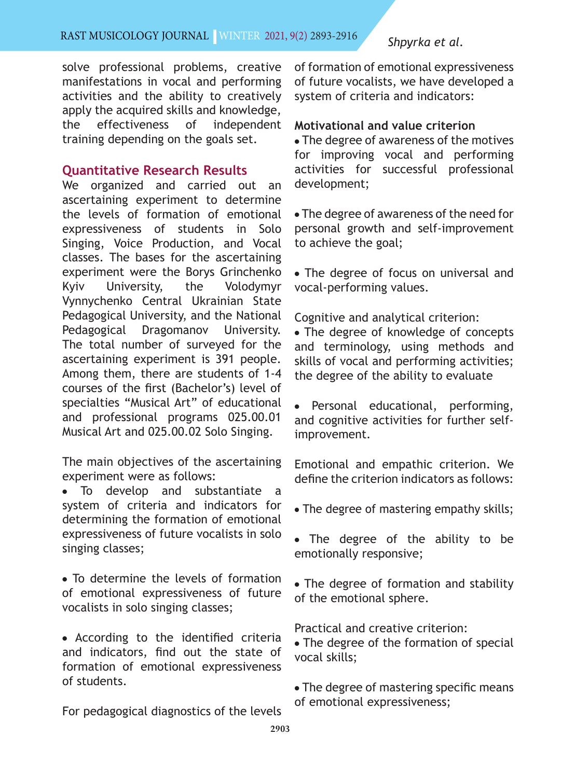solve professional problems, creative manifestations in vocal and performing activities and the ability to creatively apply the acquired skills and knowledge, the effectiveness of independent training depending on the goals set.

## **Quantitative Research Results**

We organized and carried out an ascertaining experiment to determine the levels of formation of emotional expressiveness of students in Solo Singing, Voice Production, and Vocal classes. The bases for the ascertaining experiment were the Borys Grinchenko Kyiv University, the Volodymyr Vynnychenko Central Ukrainian State Pedagogical University, and the National Pedagogical Dragomanov University. The total number of surveyed for the ascertaining experiment is 391 people. Among them, there are students of 1-4 courses of the first (Bachelor's) level of specialties "Musical Art" of educational and professional programs 025.00.01 Musical Art and 025.00.02 Solo Singing.

The main objectives of the ascertaining experiment were as follows:

• To develop and substantiate a system of criteria and indicators for determining the formation of emotional expressiveness of future vocalists in solo singing classes;

• To determine the levels of formation of emotional expressiveness of future vocalists in solo singing classes;

• According to the identified criteria and indicators, find out the state of formation of emotional expressiveness of students.

For pedagogical diagnostics of the levels

of formation of emotional expressiveness of future vocalists, we have developed a system of criteria and indicators:

#### **Motivational and value criterion**

• The degree of awareness of the motives for improving vocal and performing activities for successful professional development;

• The degree of awareness of the need for personal growth and self-improvement to achieve the goal;

• The degree of focus on universal and vocal-performing values.

Cognitive and analytical criterion:

• The degree of knowledge of concepts and terminology, using methods and skills of vocal and performing activities; the degree of the ability to evaluate

Personal educational, performing, and cognitive activities for further selfimprovement.

Emotional and empathic criterion. We define the criterion indicators as follows:

- The degree of mastering empathy skills;
- The degree of the ability to be emotionally responsive;
- The degree of formation and stability of the emotional sphere.

Practical and creative criterion:

- The degree of the formation of special vocal skills;
- The degree of mastering specific means of emotional expressiveness;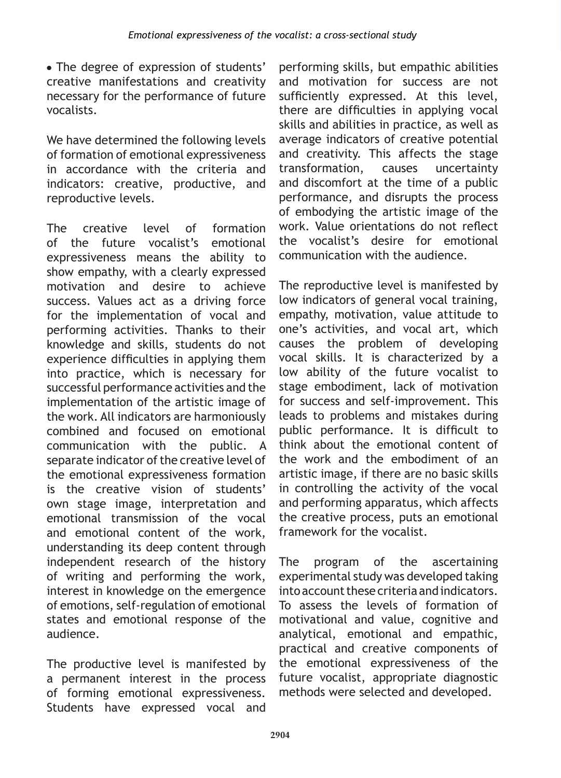• The degree of expression of students' creative manifestations and creativity necessary for the performance of future vocalists.

We have determined the following levels of formation of emotional expressiveness in accordance with the criteria and indicators: creative, productive, and reproductive levels.

The creative level of formation of the future vocalist's emotional expressiveness means the ability to show empathy, with a clearly expressed motivation and desire to achieve success. Values act as a driving force for the implementation of vocal and performing activities. Thanks to their knowledge and skills, students do not experience difficulties in applying them into practice, which is necessary for successful performance activities and the implementation of the artistic image of the work. All indicators are harmoniously combined and focused on emotional communication with the public. A separate indicator of the creative level of the emotional expressiveness formation is the creative vision of students' own stage image, interpretation and emotional transmission of the vocal and emotional content of the work, understanding its deep content through independent research of the history of writing and performing the work, interest in knowledge on the emergence of emotions, self-regulation of emotional states and emotional response of the audience.

The productive level is manifested by a permanent interest in the process of forming emotional expressiveness. Students have expressed vocal and

performing skills, but empathic abilities and motivation for success are not sufficiently expressed. At this level. there are difficulties in applying vocal skills and abilities in practice, as well as average indicators of creative potential and creativity. This affects the stage transformation, causes uncertainty and discomfort at the time of a public performance, and disrupts the process of embodying the artistic image of the work. Value orientations do not reflect the vocalist's desire for emotional communication with the audience.

The reproductive level is manifested by low indicators of general vocal training, empathy, motivation, value attitude to one's activities, and vocal art, which causes the problem of developing vocal skills. It is characterized by a low ability of the future vocalist to stage embodiment, lack of motivation for success and self-improvement. This leads to problems and mistakes during public performance. It is difficult to think about the emotional content of the work and the embodiment of an artistic image, if there are no basic skills in controlling the activity of the vocal and performing apparatus, which affects the creative process, puts an emotional framework for the vocalist.

The program of the ascertaining experimental study was developed taking into account these criteria and indicators. To assess the levels of formation of motivational and value, cognitive and analytical, emotional and empathic, practical and creative components of the emotional expressiveness of the future vocalist, appropriate diagnostic methods were selected and developed.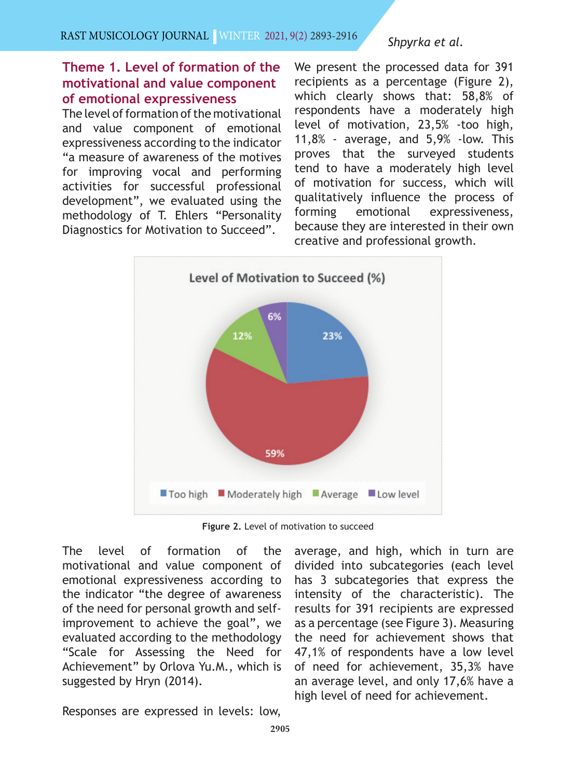# **Theme 1. Level of formation of the motivational and value component of emotional expressiveness**

The level of formation of the motivational and value component of emotional expressiveness according to the indicator "a measure of awareness of the motives for improving vocal and performing activities for successful professional development", we evaluated using the methodology of T. Ehlers "Personality Diagnostics for Motivation to Succeed".

We present the processed data for 391 recipients as a percentage (Figure 2), which clearly shows that: 58,8% of respondents have a moderately high level of motivation, 23,5% -too high, 11,8% - average, and 5,9% -low. This proves that the surveyed students tend to have a moderately high level of motivation for success, which will qualitatively influence the process of forming emotional expressiveness, because they are interested in their own creative and professional growth.



**Figure 2.** Level of motivation to succeed

The level of formation of the motivational and value component of emotional expressiveness according to the indicator "the degree of awareness of the need for personal growth and selfimprovement to achieve the goal", we evaluated according to the methodology "Scale for Assessing the Need for Achievement" by Orlova Yu.M., which is suggested by Hryn (2014).

average, and high, which in turn are divided into subcategories (each level has 3 subcategories that express the intensity of the characteristic). The results for 391 recipients are expressed as a percentage (see Figure 3). Measuring the need for achievement shows that 47,1% of respondents have a low level of need for achievement, 35,3% have an average level, and only 17,6% have a high level of need for achievement.

Responses are expressed in levels: low,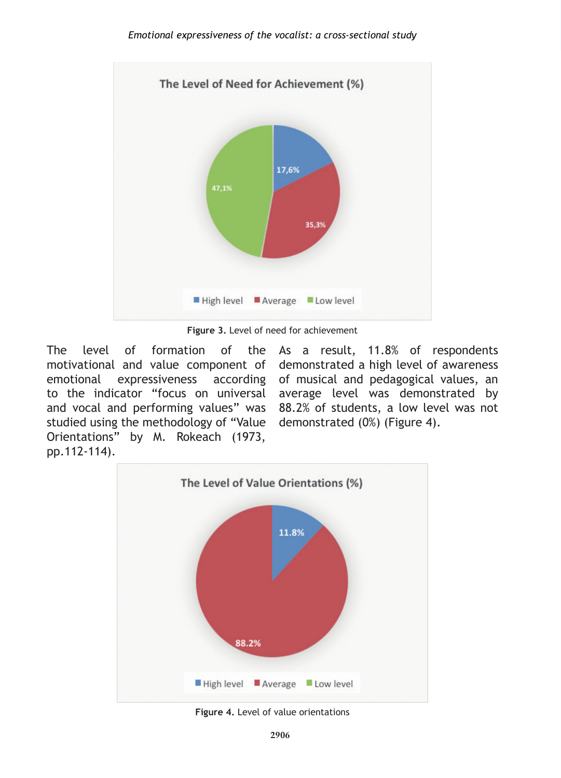

**Figure 3.** Level of need for achievement

The level of formation of the As a result, 11.8% of respondents motivational and value component of demonstrated a high level of awareness emotional expressiveness according of musical and pedagogical values, an to the indicator "focus on universal average level was demonstrated by and vocal and performing values" was 88.2% of students, a low level was not studied using the methodology of "Value demonstrated (0%) (Figure 4). Orientations" by M. Rokeach (1973, pp.112-114).



**Figure 4.** Level of value orientations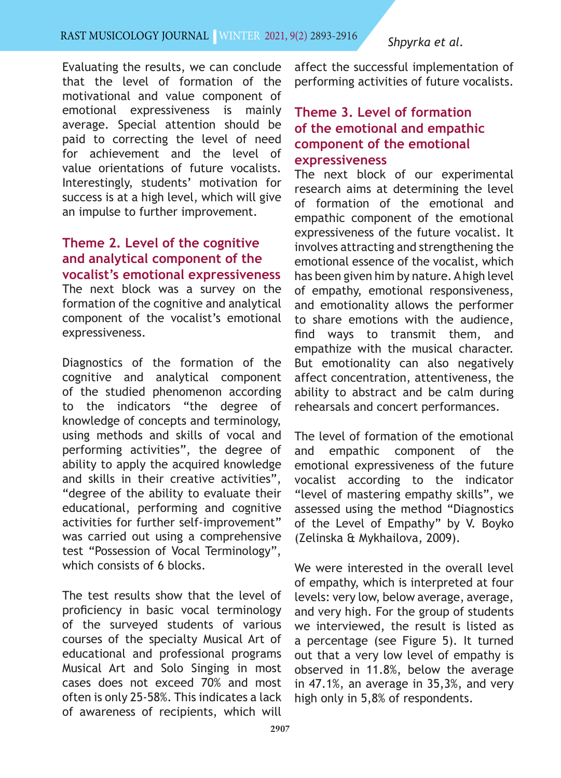Evaluating the results, we can conclude that the level of formation of the motivational and value component of emotional expressiveness is mainly average. Special attention should be paid to correcting the level of need for achievement and the level of value orientations of future vocalists. Interestingly, students' motivation for success is at a high level, which will give an impulse to further improvement.

# **Theme 2. Level of the cognitive and analytical component of the vocalist's emotional expressiveness** The next block was a survey on the formation of the cognitive and analytical component of the vocalist's emotional expressiveness.

Diagnostics of the formation of the cognitive and analytical component of the studied phenomenon according to the indicators "the degree of knowledge of concepts and terminology, using methods and skills of vocal and performing activities", the degree of ability to apply the acquired knowledge and skills in their creative activities", "degree of the ability to evaluate their educational, performing and cognitive activities for further self-improvement" was carried out using a comprehensive test "Possession of Vocal Terminology", which consists of 6 blocks.

The test results show that the level of proficiency in basic vocal terminology of the surveyed students of various courses of the specialty Musical Art of educational and professional programs Musical Art and Solo Singing in most cases does not exceed 70% and most often is only 25-58%. This indicates a lack of awareness of recipients, which will affect the successful implementation of performing activities of future vocalists.

# **Theme 3. Level of formation of the emotional and empathic component of the emotional expressiveness**

The next block of our experimental research aims at determining the level of formation of the emotional and empathic component of the emotional expressiveness of the future vocalist. It involves attracting and strengthening the emotional essence of the vocalist, which has been given him by nature. A high level of empathy, emotional responsiveness, and emotionality allows the performer to share emotions with the audience, find ways to transmit them, and empathize with the musical character. But emotionality can also negatively affect concentration, attentiveness, the ability to abstract and be calm during rehearsals and concert performances.

The level of formation of the emotional and empathic component of the emotional expressiveness of the future vocalist according to the indicator "level of mastering empathy skills", we assessed using the method "Diagnostics of the Level of Empathy" by V. Boyko (Zelinska & Mykhailova, 2009).

We were interested in the overall level of empathy, which is interpreted at four levels: very low, below average, average, and very high. For the group of students we interviewed, the result is listed as a percentage (see Figure 5). It turned out that a very low level of empathy is observed in 11.8%, below the average in 47.1%, an average in 35,3%, and very high only in 5,8% of respondents.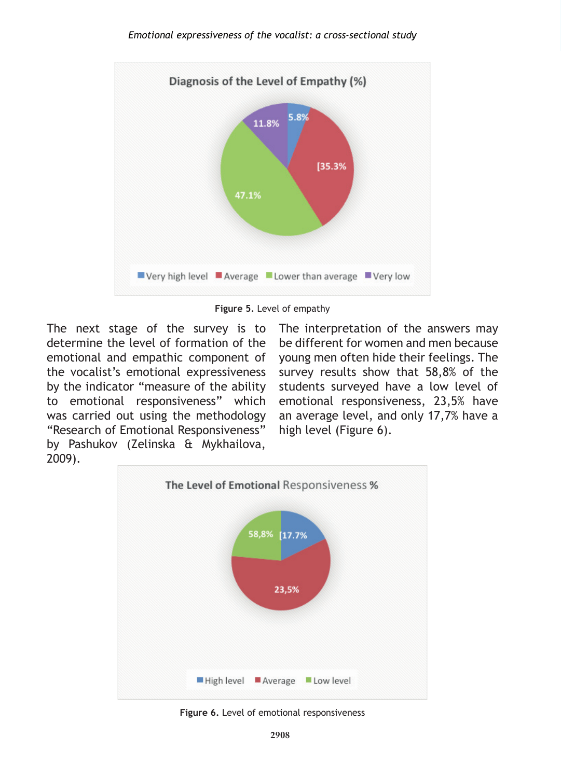

**Figure 5.** Level of empathy

The next stage of the survey is to determine the level of formation of the emotional and empathic component of the vocalist's emotional expressiveness by the indicator "measure of the ability to emotional responsiveness" which was carried out using the methodology "Research of Emotional Responsiveness" by Pashukov (Zelinska & Mykhailova, 2009).

The interpretation of the answers may be different for women and men because young men often hide their feelings. The survey results show that 58,8% of the students surveyed have a low level of emotional responsiveness, 23,5% have an average level, and only 17,7% have a high level (Figure 6).



**Figure 6.** Level of emotional responsiveness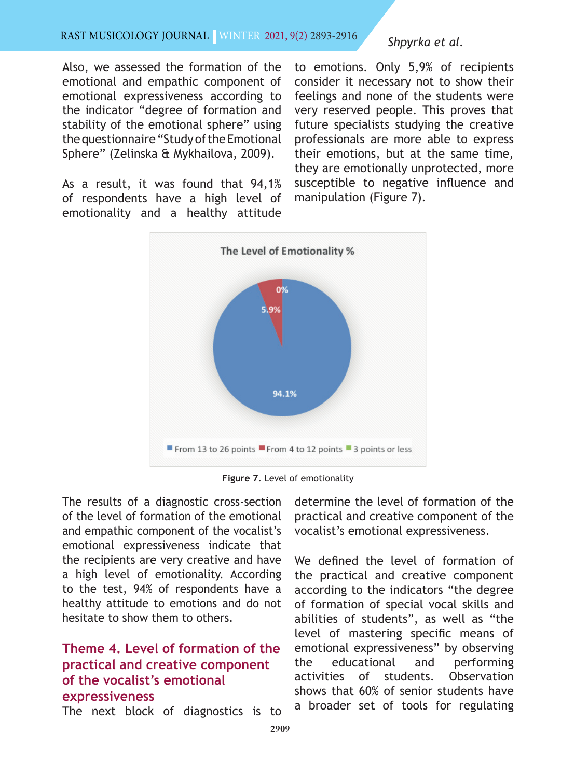#### Rast MUSıcOLOgy JOURNAL | WINTER 2021, 9(2) 2893-2916

Also, we assessed the formation of the emotional and empathic component of emotional expressiveness according to the indicator "degree of formation and stability of the emotional sphere" using the questionnaire "Study of the Emotional Sphere" (Zelinska & Mykhailova, 2009).

As a result, it was found that 94,1% of respondents have a high level of emotionality and a healthy attitude *Shpyrka et al.*

to emotions. Only 5,9% of recipients consider it necessary not to show their feelings and none of the students were very reserved people. This proves that future specialists studying the creative professionals are more able to express their emotions, but at the same time, they are emotionally unprotected, more susceptible to negative influence and manipulation (Figure 7).



**Figure 7**. Level of emotionality

The results of a diagnostic cross-section of the level of formation of the emotional and empathic component of the vocalist's emotional expressiveness indicate that the recipients are very creative and have a high level of emotionality. According to the test, 94% of respondents have a healthy attitude to emotions and do not hesitate to show them to others.

# **Theme 4. Level of formation of the practical and creative component of the vocalist's emotional expressiveness**

The next block of diagnostics is to

determine the level of formation of the practical and creative component of the vocalist's emotional expressiveness.

We defined the level of formation of the practical and creative component according to the indicators "the degree of formation of special vocal skills and abilities of students", as well as "the level of mastering specific means of emotional expressiveness" by observing the educational and performing activities of students. Observation shows that 60% of senior students have a broader set of tools for regulating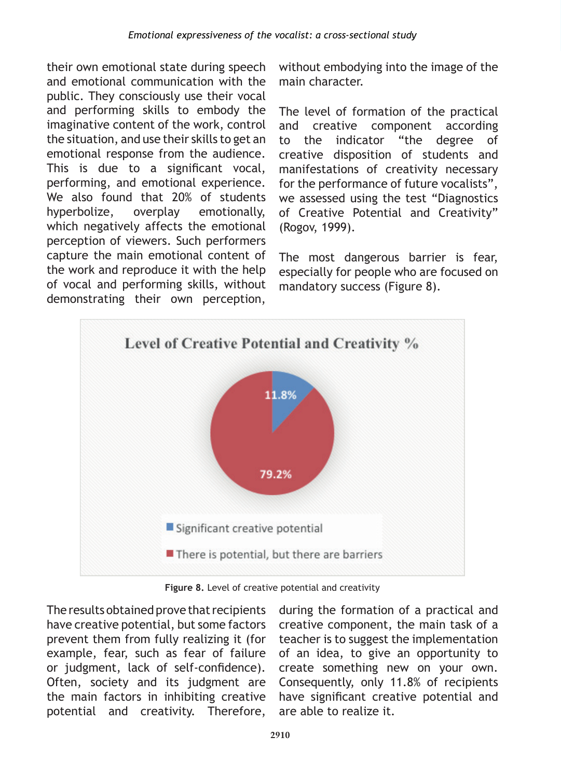their own emotional state during speech and emotional communication with the public. They consciously use their vocal and performing skills to embody the imaginative content of the work, control the situation, and use their skills to get an emotional response from the audience. This is due to a significant vocal, performing, and emotional experience. We also found that 20% of students hyperbolize, overplay emotionally, which negatively affects the emotional perception of viewers. Such performers capture the main emotional content of the work and reproduce it with the help of vocal and performing skills, without demonstrating their own perception,

without embodying into the image of the main character.

The level of formation of the practical and creative component according to the indicator "the degree of creative disposition of students and manifestations of creativity necessary for the performance of future vocalists", we assessed using the test "Diagnostics of Creative Potential and Creativity" (Rogov, 1999).

The most dangerous barrier is fear, especially for people who are focused on mandatory success (Figure 8).



**Figure 8.** Level of creative potential and creativity

The results obtained prove that recipients have creative potential, but some factors prevent them from fully realizing it (for example, fear, such as fear of failure or judgment, lack of self-confidence). Often, society and its judgment are the main factors in inhibiting creative potential and creativity. Therefore,

during the formation of a practical and creative component, the main task of a teacher is to suggest the implementation of an idea, to give an opportunity to create something new on your own. Consequently, only 11.8% of recipients have significant creative potential and are able to realize it.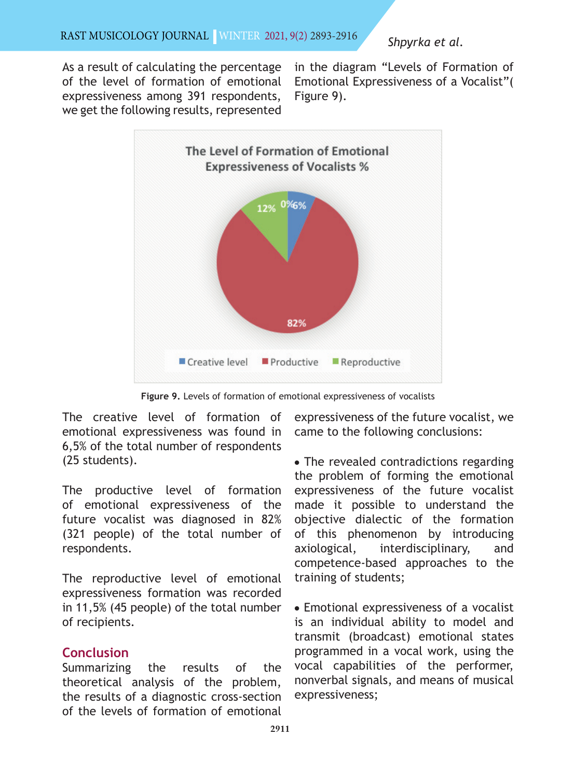As a result of calculating the percentage of the level of formation of emotional expressiveness among 391 respondents, we get the following results, represented

in the diagram "Levels of Formation of Emotional Expressiveness of a Vocalist"( Figure 9).



**Figure 9.** Levels of formation of emotional expressiveness of vocalists

The creative level of formation of emotional expressiveness was found in 6,5% of the total number of respondents (25 students).

The productive level of formation of emotional expressiveness of the future vocalist was diagnosed in 82% (321 people) of the total number of respondents.

The reproductive level of emotional expressiveness formation was recorded in 11,5% (45 people) of the total number of recipients.

# **Conclusion**

Summarizing the results of the theoretical analysis of the problem, the results of a diagnostic cross-section of the levels of formation of emotional expressiveness of the future vocalist, we came to the following conclusions:

• The revealed contradictions regarding the problem of forming the emotional expressiveness of the future vocalist made it possible to understand the objective dialectic of the formation of this phenomenon by introducing axiological, interdisciplinary, and competence-based approaches to the training of students;

• Emotional expressiveness of a vocalist is an individual ability to model and transmit (broadcast) emotional states programmed in a vocal work, using the vocal capabilities of the performer, nonverbal signals, and means of musical expressiveness;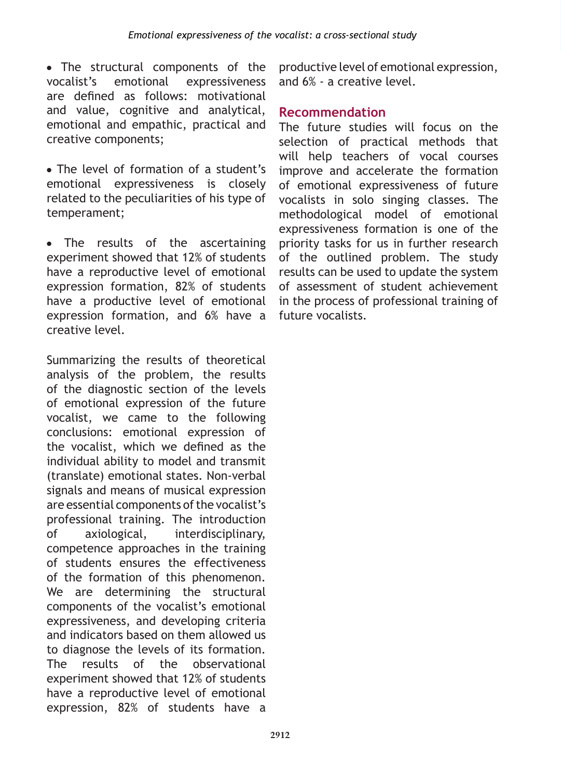• The structural components of the vocalist's emotional expressiveness are defined as follows: motivational and value, cognitive and analytical, emotional and empathic, practical and creative components;

• The level of formation of a student's emotional expressiveness is closely related to the peculiarities of his type of temperament;

• The results of the ascertaining experiment showed that 12% of students have a reproductive level of emotional expression formation, 82% of students have a productive level of emotional expression formation, and 6% have a creative level.

Summarizing the results of theoretical analysis of the problem, the results of the diagnostic section of the levels of emotional expression of the future vocalist, we came to the following conclusions: emotional expression of the vocalist, which we defined as the individual ability to model and transmit (translate) emotional states. Non-verbal signals and means of musical expression are essential components of the vocalist's professional training. The introduction of axiological, interdisciplinary, competence approaches in the training of students ensures the effectiveness of the formation of this phenomenon. We are determining the structural components of the vocalist's emotional expressiveness, and developing criteria and indicators based on them allowed us to diagnose the levels of its formation. The results of the observational experiment showed that 12% of students have a reproductive level of emotional expression, 82% of students have a

productive level of emotional expression, and 6% - a creative level.

# **Recommendation**

The future studies will focus on the selection of practical methods that will help teachers of vocal courses improve and accelerate the formation of emotional expressiveness of future vocalists in solo singing classes. The methodological model of emotional expressiveness formation is one of the priority tasks for us in further research of the outlined problem. The study results can be used to update the system of assessment of student achievement in the process of professional training of future vocalists.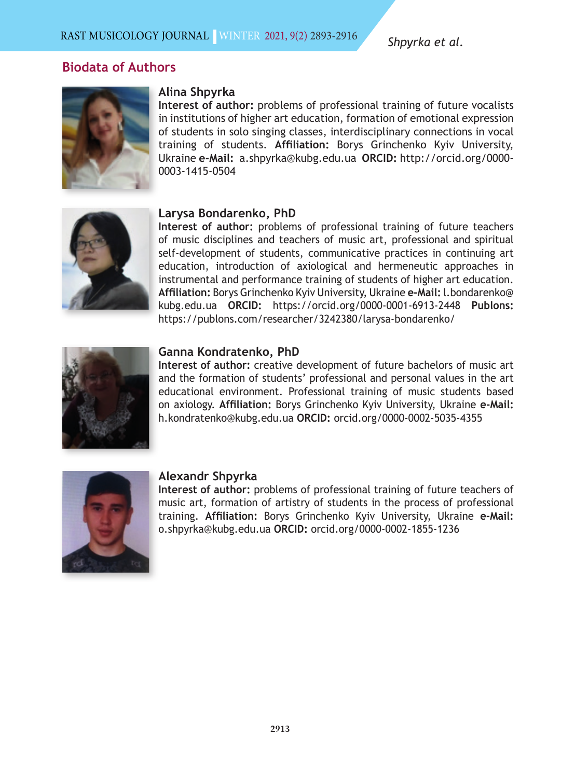## **Biodata of Authors**



#### **Alina Shpyrka**

**Interest of author:** problems of professional training of future vocalists in institutions of higher art education, formation of emotional expression of students in solo singing classes, interdisciplinary connections in vocal training of students. **Affiliation:** Borys Grinchenko Kyiv University, Ukraine **e-Mail:** a.shpyrka@kubg.edu.ua **ORCID:** http://orcid.org/0000- 0003-1415-0504



#### **Larysa Bondarenko, PhD**

**Interest of author:** problems of professional training of future teachers of music disciplines and teachers of music art, professional and spiritual self-development of students, communicative practices in continuing art education, introduction of axiological and hermeneutic approaches in instrumental and performance training of students of higher art education. **Affiliation:** Borys Grinchenko Kyiv University, Ukraine **e-Mail:** l.bondarenko@ kubg.edu.ua **ORCID:** https://orcid.org/0000-0001-6913-2448 **Publons:** https://publons.com/researcher/3242380/larysa-bondarenko/



#### **Ganna Kondratenko, PhD**

**Interest of author:** creative development of future bachelors of music art and the formation of students' professional and personal values in the art educational environment. Professional training of music students based on axiology. **Affiliation:** Borys Grinchenko Kyiv University, Ukraine **e-Mail:** h.kondratenko@kubg.edu.ua **ORCID:** orcid.org/0000-0002-5035-4355



#### **Alexandr Shpyrka**

**Interest of author:** problems of professional training of future teachers of music art, formation of artistry of students in the process of professional training. **Affiliation:** Borys Grinchenko Kyiv University, Ukraine **e-Mail:** o.shpyrka@kubg.edu.ua **ORCID:** orcid.org/0000-0002-1855-1236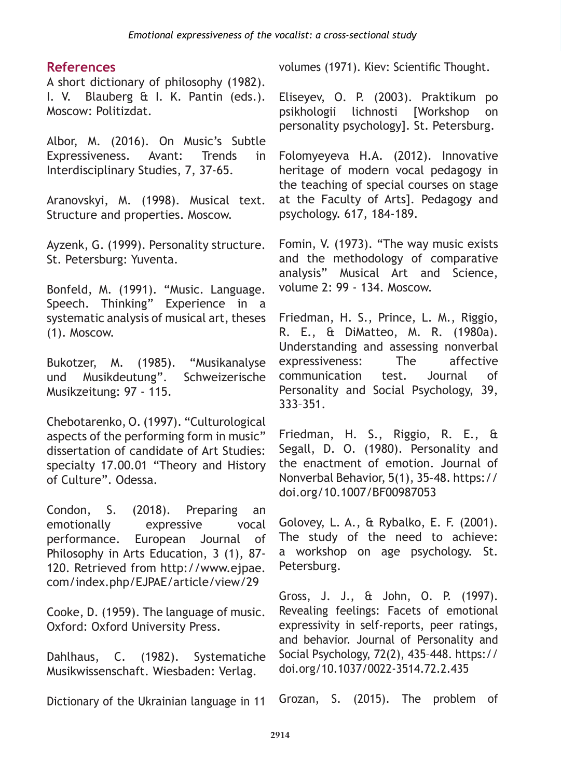## **References**

A short dictionary of philosophy (1982). I. V. Blauberg & I. K. Pantin (eds.). Moscow: Politizdat.

Albor, M. (2016). On Music's Subtle Expressiveness. Avant: Trends in Interdisciplinary Studies, 7, 37-65.

Aranovskyi, M. (1998). Musical text. Structure and properties. Moscow.

Ayzenk, G. (1999). Personality structure. St. Petersburg: Yuventa.

Bonfeld, M. (1991). "Music. Language. Speech. Thinking" Experience in a systematic analysis of musical art, theses (1). Moscow.

Bukotzer, M. (1985). "Musikanalyse und Musikdeutung". Schweizerische Musikzeitung: 97 - 115.

Chebotarenko, O. (1997). "Culturological aspects of the performing form in music" dissertation of candidate of Art Studies: specialty 17.00.01 "Theory and History of Culture". Odessa.

Condon, S. (2018). Preparing an emotionally expressive vocal performance. European Journal of Philosophy in Arts Education, 3 (1), 87- 120. Retrieved from http://www.ejpae. com/index.php/EJPAE/article/view/29

Cooke, D. (1959). The language of music. Oxford: Oxford University Press.

Dahlhaus, C. (1982). Systematiche Musikwissenschaft. Wiesbaden: Verlag.

Dictionary of the Ukrainian language in 11

volumes (1971). Kiev: Scientific Thought.

Eliseyev, O. P. (2003). Praktikum po psikhologii lichnosti [Workshop on personality psychology]. St. Petersburg.

Folomyeyeva H.A. (2012). Innovative heritage of modern vocal pedagogy in the teaching of special courses on stage at the Faculty of Arts]. Pedagogy and psychology. 617, 184-189.

Fomin, V. (1973). "The way music exists and the methodology of comparative analysis" Musical Art and Science, volume 2: 99 - 134. Moscow.

Friedman, H. S., Prince, L. M., Riggio, R. E., & DiMatteo, M. R. (1980a). Understanding and assessing nonverbal expressiveness: The affective communication test. Journal of Personality and Social Psychology, 39, 333–351.

Friedman, H. S., Riggio, R. E., & Segall, D. O. (1980). Personality and the enactment of emotion. Journal of Nonverbal Behavior, 5(1), 35–48. https:// doi.org/10.1007/BF00987053

Golovey, L. A., & Rybalko, E. F. (2001). The study of the need to achieve: a workshop on age psychology. St. Petersburg.

Gross, J. J., & John, O. P. (1997). Revealing feelings: Facets of emotional expressivity in self-reports, peer ratings, and behavior. Journal of Personality and Social Psychology, 72(2), 435–448. https:// doi.org/10.1037/0022-3514.72.2.435

Grozan, S. (2015). The problem of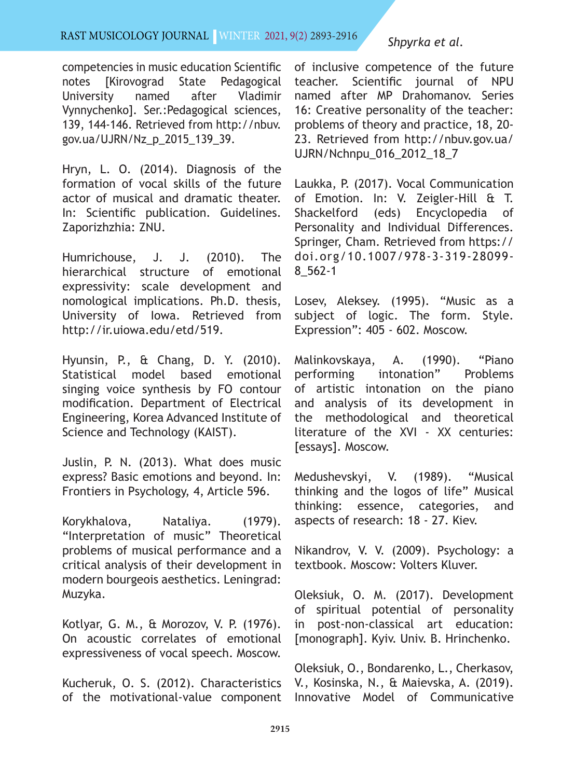#### Rast MUSıcOLOgy JOURNAL | WINTER 2021, 9(2) 2893-2916

competencies in music education Scientific notes [Kirovograd State Pedagogical University named after Vladimir Vynnychenko]. Ser.:Pedagogical sciences, 139, 144-146. Retrieved from http://nbuv. gov.ua/UJRN/Nz\_p\_2015\_139\_39.

Hryn, L. O. (2014). Diagnosis of the formation of vocal skills of the future actor of musical and dramatic theater. In: Scientific publication. Guidelines. Zaporizhzhia: ZNU.

Humrichouse, J. J. (2010). The hierarchical structure of emotional expressivity: scale development and nomological implications. Ph.D. thesis, University of Iowa. Retrieved from http://ir.uiowa.edu/etd/519.

Hyunsin, P., & Chang, D. Y. (2010). Statistical model based emotional singing voice synthesis by FO contour modification. Department of Electrical Engineering, Korea Advanced Institute of Science and Technology (KAIST).

Juslin, P. N. (2013). What does music express? Basic emotions and beyond. In: Frontiers in Psychology, 4, Article 596.

Korykhalova, Nataliya. (1979). "Interpretation of music" Theoretical problems of musical performance and a critical analysis of their development in modern bourgeois aesthetics. Leningrad: Muzyka.

Kotlyar, G. M., & Morozov, V. P. (1976). On acoustic correlates of emotional expressiveness of vocal speech. Moscow.

Kucheruk, O. S. (2012). Characteristics of the motivational-value component

## *Shpyrka et al.*

of inclusive competence of the future teacher. Scientific journal of NPU named after MP Drahomanov. Series 16: Creative personality of the teacher: problems of theory and practice, 18, 20- 23. Retrieved from http://nbuv.gov.ua/ UJRN/Nchnpu\_016\_2012\_18\_7

Laukka, P. (2017). Vocal Communication of Emotion. In: V. Zeigler-Hill & T. Shackelford (eds) Encyclopedia of Personality and Individual Differences. Springer, Cham. Retrieved from https:// doi.org/10.1007/978-3-319-28099- 8\_562-1

Losev, Aleksey. (1995). "Music as a subject of logic. The form. Style. Expression": 405 - 602. Moscow.

Malinkovskaya, A. (1990). "Piano performing intonation" Problems of artistic intonation on the piano and analysis of its development in the methodological and theoretical literature of the XVI - XX centuries: [essays]. Moscow.

Medushevskyi, V. (1989). "Musical thinking and the logos of life" Musical thinking: essence, categories, and aspects of research: 18 - 27. Kiev.

Nikandrov, V. V. (2009). Psychology: a textbook. Moscow: Volters Kluver.

Oleksiuk, O. M. (2017). Development of spiritual potential of personality in post-non-classical art education: [monograph]. Kyiv. Univ. B. Hrinchenko.

Oleksiuk, O., Bondarenko, L., Cherkasov, V., Kosinska, N., & Maievska, A. (2019). Innovative Model of Communicative